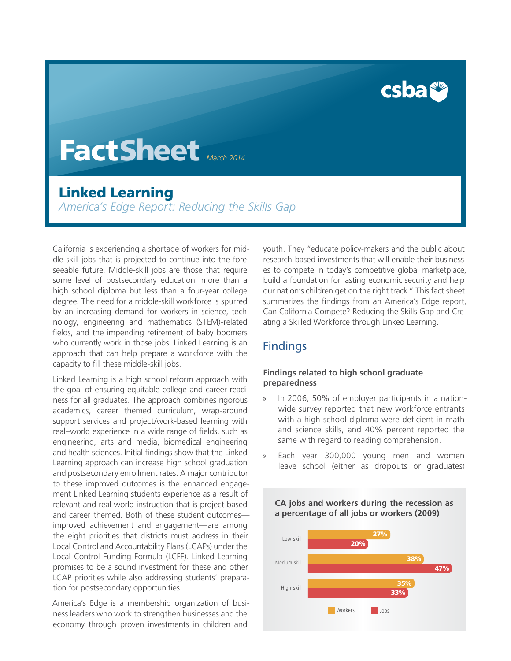csbat

# FactSheet *March 2014*

## Linked Learning

*America's Edge Report: Reducing the Skills Gap*

California is experiencing a shortage of workers for middle-skill jobs that is projected to continue into the foreseeable future. Middle-skill jobs are those that require some level of postsecondary education: more than a high school diploma but less than a four-year college degree. The need for a middle-skill workforce is spurred by an increasing demand for workers in science, technology, engineering and mathematics (STEM)-related fields, and the impending retirement of baby boomers who currently work in those jobs. Linked Learning is an approach that can help prepare a workforce with the capacity to fill these middle-skill jobs.

Linked Learning is a high school reform approach with the goal of ensuring equitable college and career readiness for all graduates. The approach combines rigorous academics, career themed curriculum, wrap-around support services and project/work-based learning with real–world experience in a wide range of fields, such as engineering, arts and media, biomedical engineering and health sciences. Initial findings show that the Linked Learning approach can increase high school graduation and postsecondary enrollment rates. A major contributor to these improved outcomes is the enhanced engagement Linked Learning students experience as a result of relevant and real world instruction that is project-based and career themed. Both of these student outcomes improved achievement and engagement—are among the eight priorities that districts must address in their Local Control and Accountability Plans (LCAPs) under the Local Control Funding Formula (LCFF). Linked Learning promises to be a sound investment for these and other LCAP priorities while also addressing students' preparation for postsecondary opportunities.

America's Edge is a membership organization of business leaders who work to strengthen businesses and the economy through proven investments in children and

youth. They "educate policy-makers and the public about research-based investments that will enable their businesses to compete in today's competitive global marketplace, build a foundation for lasting economic security and help our nation's children get on the right track." This fact sheet summarizes the findings from an America's Edge report, Can California Compete? Reducing the Skills Gap and Creating a Skilled Workforce through Linked Learning.

## **Findings**

#### **Findings related to high school graduate preparedness**

- In 2006, 50% of employer participants in a nationwide survey reported that new workforce entrants with a high school diploma were deficient in math and science skills, and 40% percent reported the same with regard to reading comprehension.
- Each year 300,000 young men and women leave school (either as dropouts or graduates)

#### **CA jobs and workers during the recession as a percentage of all jobs or workers (2009)**